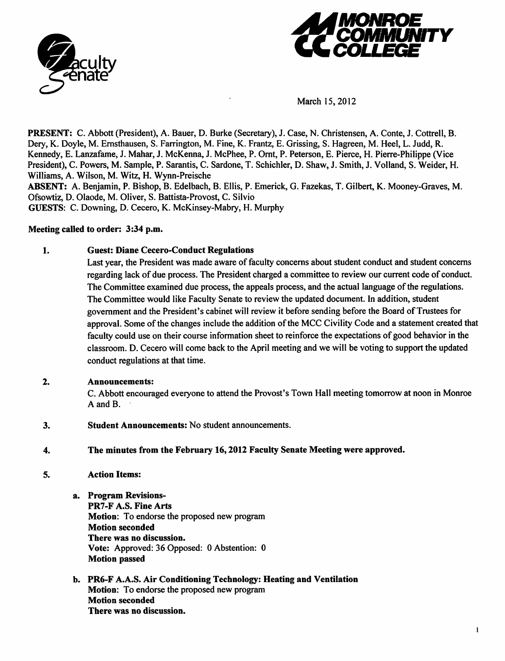



March 15,2012

PRESENT: C. Abbott (President), A. Bauer, D. Burke (Secretary), J. Case, N. Christensen, A. Conte, J. Cottrell, B. Dery, K. Doyle, M. Ernsthausen, S. Farrington, M. Fine, K. Frantz, E. Grissing, S. Hagreen, M. Heel, L. Judd, R. Kennedy, E. Lanzafame, J. Mahar, J. McKenna, J. McPhee, P. Ornt, P. Peterson, E. Pierce, H. Pierre-Philippe (Vice President), C. Powers, M. Sample, P. Sarantis, C. Sardone, T. Schichler, D. Shaw, J. Smith, J. Volland, S. Weider, H. Williams, A. Wilson, M. Witz, H. Wynn-Preische

*ABSENT:* A. Benjamin, P. Bishop, B. Edelbach, B. Ellis, P. Emerick, G. Fazekas, T. Gilbert, K. Mooney-Graves, M. Ofsowtiz, D. Olaode, M. Oliver, S. Battista-Provost, C. Silvio

GUESTS: C. Downing, D. Cecero, K. McKinsey-Mabry, H. Murphy

## *Meeting called to order: 3:34 p.m.*

# *1. Guest: Diane Cecero-Conduct Regulations*

Last year, the President was made aware of faculty concerns about student conduct and student concerns regarding lack of due process. The President charged a committee to review our current code of conduct. The Committee examined due process, the appeals process, and the actual language of the regulations. The Committee would like Faculty Senate to review the updated document. In addition, student government and the President's cabinet will review it before sending before the Board of Trustees for approval. Some of the changes include the addition of the MCC Civility Code and a statement created that faculty could use on their course information sheet to reinforce the expectations of good behavior in the classroom. D. Cecero will come back to the April meeting and we will be voting to support the updated conduct regulations at that time.

# *2. Announcements:*

C. Abbott encouraged everyone to attend the Provost's Town Hall meeting tomorrow at noon in Monroe A and B.

- *3. Student Announcements:* No student announcements.
- *4. The minutes from the February 16,2012 Faculty Senate Meeting were approved.*
- *5. Action Items:*
	- *a. Program Revisions-PR7-F A.S. Fine Arts Motion:* To endorse the proposed new program *Motion seconded There was no discussion. Vote:* Approved: 36 Opposed: 0 Abstention: 0 *Motion passed*
	- *b. PR6-F A.A.S. Air Conditioning Technology: Heating and Ventilation Motion:* To endorse the proposed new program *Motion seconded There was no discussion.*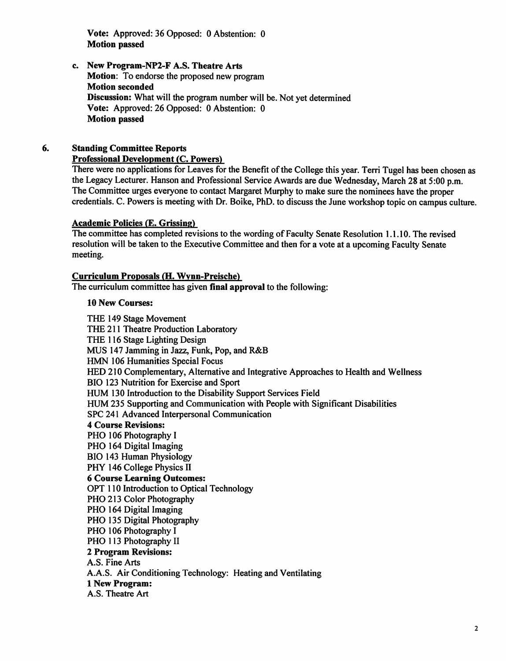*Vote:* Approved: 36 Opposed: 0 Abstention: 0 *Motion passed*

*c. New Program-NP2-F A.S. Theatre Arts Motion:* To endorse the proposed new program *Motion seconded Discussion:* What will the program number will be. Not yet determined *Vote:* Approved: 26 Opposed: 0 Abstention: 0 *Motion passed*

# *6. Standing Committee Reports*

#### *Professional Development (C. Powers)*

There were no applications for Leaves for the Benefit of the College this year. Terri Tugel has been chosen as the Legacy Lecturer. Hanson and Professional Service Awards are due Wednesday, March 28 at 5:00 p.m. The Committee urges everyone to contact Margaret Murphy to make sure the nominees have the proper credentials. C. Powers is meeting with Dr. Boike, PhD. to discuss the June workshop topic on campus culture.

## *Academic Policies* (E. *Grissing)*

The committee has completed revisions to the wording of Faculty Senate Resolution 1.1.10. The revised resolution will be taken to the Executive Committee and then for a vote at a upcoming Faculty Senate meeting.

#### *Curriculum Proposals (H. Wvnn-Preische)*

The curriculum committee has given *final approval* to the following:

## 10 *New Courses:*

THE 149 Stage Movement THE 211 Theatre Production Laboratory THE 116 Stage Lighting Design MUS 147 Jamming in Jazz, Funk, Pop, and R&B HMN 106 Humanities Special Focus HED 210 Complementary, Alternative and Integrative Approaches to Health and Wellness BIO 123 Nutrition for Exercise and Sport HUM 130 Introduction to the Disability Support Services Field HUM 235 Supporting and Communication with People with Significant Disabilities SPC 241 Advanced Interpersonal Communication *4 Course Revisions:* PHO 106 Photography I PHO 164 Digital Imaging BIO 143 Human Physiology PHY 146 College Physics II *6 Course Learning Outcomes:* OPT 110 Introduction to Optical Technology PHO 213 Color Photography PHO 164 Digital Imaging PHO 135 Digital Photography PHO 106 Photography I PHO 113 Photography II *2 Program Revisions:* A.S. Fine Arts A.A.S. Air Conditioning Technology: Heating and Ventilating *1 New Program:* A.S. Theatre Art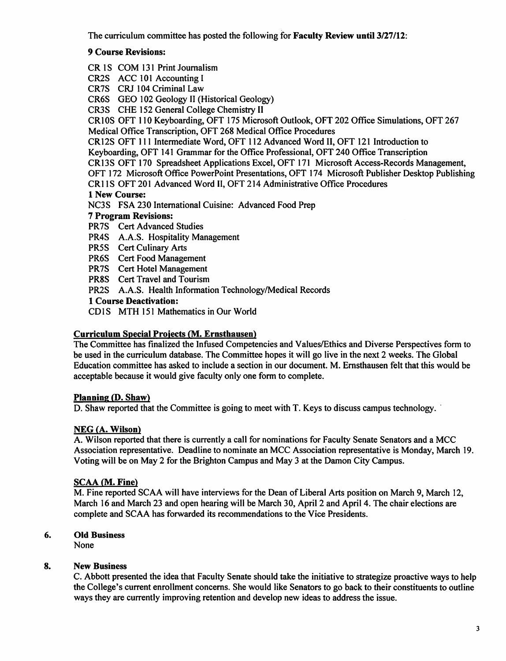The curriculum committee has posted the following for *Faculty Review until 3/27/12:*

# *9 Course Revisions:*

CR IS COM 131 Print Journalism

CR2S ACC 101 Accounting I

CR7S CRJ 104 Criminal Law

CR6S GEO 102 Geology II (Historical Geology)

CR3S CHE 152 General College Chemistry II

CR10S OFT 110 Keyboarding, OFT 175 Microsoft Outlook, OFT 202 Office Simulations, OFT 267 Medical Office Transcription, OFT 268 Medical Office Procedures

CR12S OFT 111 Intermediate Word, OFT 112 Advanced Word II, OFT 121 Introduction to

Keyboarding, OFT 141 Grammar for the Office Professional, OFT 240 Office Transcription

CR13S OFT 170 Spreadsheet Applications Excel, OFT 171 Microsoft Access-Records Management,

OFT 172 Microsoft Office PowerPoint Presentations, OFT 174 Microsoft Publisher Desktop Publishing

CR1 IS OFT 201 Advanced Word II, OFT 214 Administrative Office Procedures

*1 New Course:*

NC3S FSA 230 International Cuisine: Advanced Food Prep

## *7 Program Revisions:*

- PR7S Cert Advanced Studies
- PR4S A.A.S. Hospitality Management
- PR5S Cert Culinary Arts
- PR6S Cert Food Management
- PR7S Cert Hotel Management
- PR8S Cert Travel and Tourism

PR2S A.A.S. Health Information Technology/Medical Records

*1 Course Deactivation:*

CD1S MTH 151 Mathematics in Our World

## *Curriculum Special Projects (M. Ernsthausen)*

The Committee has finalized the Infused Competencies and Values/Ethics and Diverse Perspectives form to be used in the curriculum database. The Committee hopes it will go live in the next 2 weeks. The Global Education committee has asked to include a section in our document. M. Ernsthausen felt that this would be acceptable because it would give faculty only one form to complete.

# *Planning (D. Shaw)*

D. Shaw reported that the Committee is going to meet with T. Keys to discuss campus technology.

## *NEG (A. Wilson)*

A. Wilson reported that there is currently a call for nominations for Faculty Senate Senators and a MCC Association representative. Deadline to nominate an MCC Association representative is Monday, March 19. Voting will be on May 2 for the Brighton Campus and May 3 at the Damon City Campus.

# *SCAA (M. Fine)*

M. Fine reported SCAA will have interviews for the Dean of Liberal Arts position on March 9, March 12, March 16 and March 23 and open hearing will be March 30, April 2 and April 4. The chair elections are complete and SCAA has forwarded its recommendations to the Vice Presidents.

# *6. Old Business*

None

# *8. New Business*

C. Abbott presented the idea that Faculty Senate should take the initiative to strategize proactive ways to help the College's current enrollment concerns. She would like Senators to go back to their constituents to outline ways they are currently improving retention and develop new ideas to address the issue.